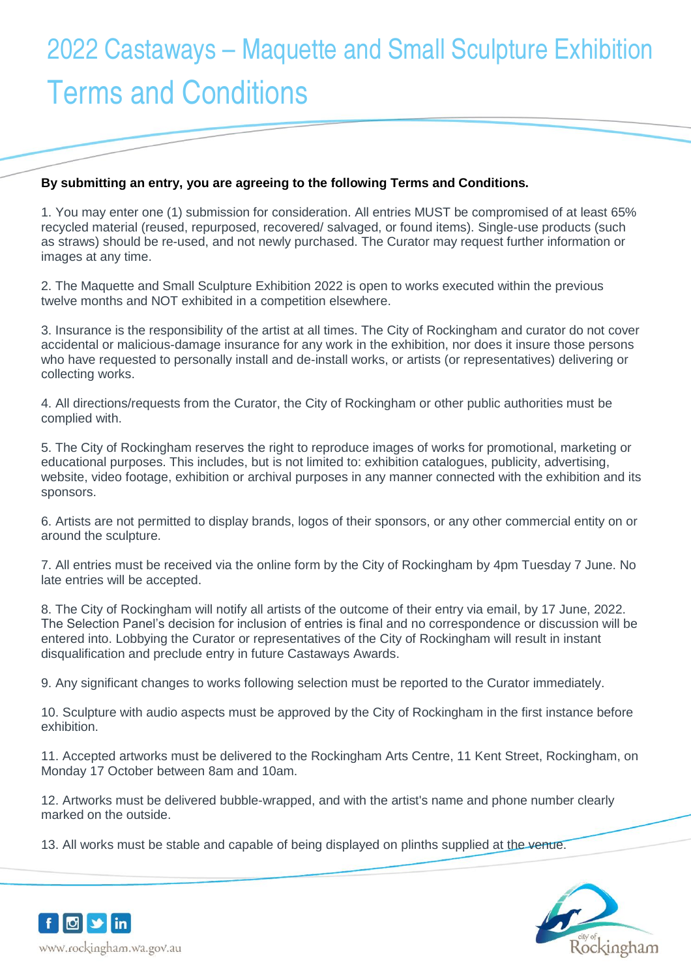## 2022 Castaways – Maquette and Small Sculpture Exhibition Terms and Conditions

## **By submitting an entry, you are agreeing to the following Terms and Conditions.**

1. You may enter one (1) submission for consideration. All entries MUST be compromised of at least 65% recycled material (reused, repurposed, recovered/ salvaged, or found items). Single-use products (such as straws) should be re-used, and not newly purchased. The Curator may request further information or images at any time.

2. The Maquette and Small Sculpture Exhibition 2022 is open to works executed within the previous twelve months and NOT exhibited in a competition elsewhere.

3. Insurance is the responsibility of the artist at all times. The City of Rockingham and curator do not cover accidental or malicious-damage insurance for any work in the exhibition, nor does it insure those persons who have requested to personally install and de-install works, or artists (or representatives) delivering or collecting works.

4. All directions/requests from the Curator, the City of Rockingham or other public authorities must be complied with.

5. The City of Rockingham reserves the right to reproduce images of works for promotional, marketing or educational purposes. This includes, but is not limited to: exhibition catalogues, publicity, advertising, website, video footage, exhibition or archival purposes in any manner connected with the exhibition and its sponsors.

6. Artists are not permitted to display brands, logos of their sponsors, or any other commercial entity on or around the sculpture.

7. All entries must be received via the online form by the City of Rockingham by 4pm Tuesday 7 June. No late entries will be accepted.

8. The City of Rockingham will notify all artists of the outcome of their entry via email, by 17 June, 2022. The Selection Panel's decision for inclusion of entries is final and no correspondence or discussion will be entered into. Lobbying the Curator or representatives of the City of Rockingham will result in instant disqualification and preclude entry in future Castaways Awards.

9. Any significant changes to works following selection must be reported to the Curator immediately.

10. Sculpture with audio aspects must be approved by the City of Rockingham in the first instance before exhibition.

11. Accepted artworks must be delivered to the Rockingham Arts Centre, 11 Kent Street, Rockingham, on Monday 17 October between 8am and 10am.

12. Artworks must be delivered bubble-wrapped, and with the artist's name and phone number clearly marked on the outside.

13. All works must be stable and capable of being displayed on plinths supplied at the venue.



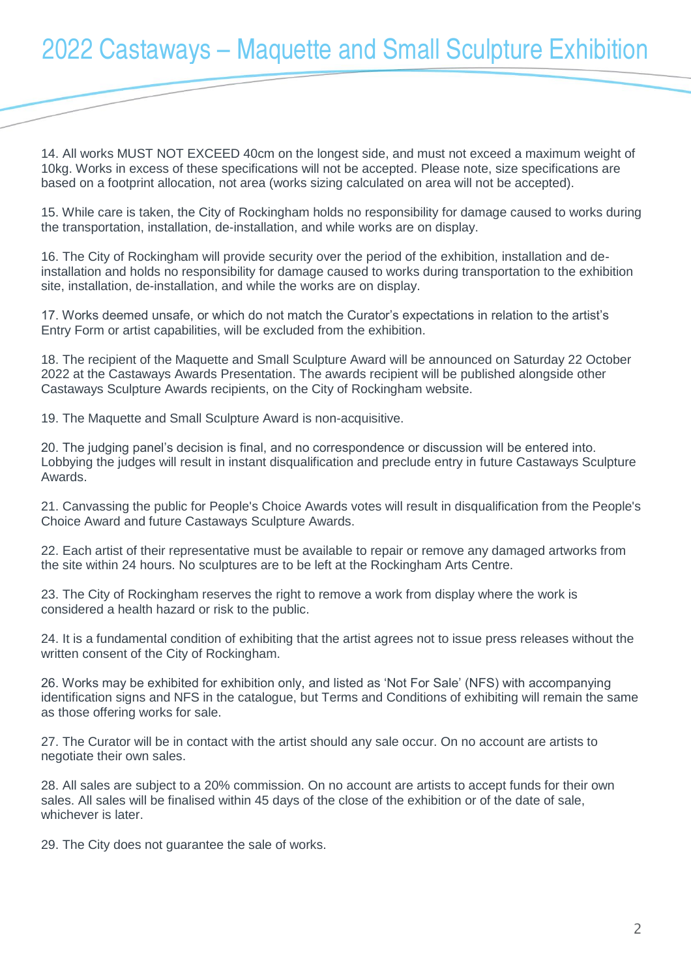## 2022 Castaways – Maquette and Small Sculpture Exhibition

14. All works MUST NOT EXCEED 40cm on the longest side, and must not exceed a maximum weight of 10kg. Works in excess of these specifications will not be accepted. Please note, size specifications are based on a footprint allocation, not area (works sizing calculated on area will not be accepted).

15. While care is taken, the City of Rockingham holds no responsibility for damage caused to works during the transportation, installation, de-installation, and while works are on display.

16. The City of Rockingham will provide security over the period of the exhibition, installation and deinstallation and holds no responsibility for damage caused to works during transportation to the exhibition site, installation, de-installation, and while the works are on display.

17. Works deemed unsafe, or which do not match the Curator's expectations in relation to the artist's Entry Form or artist capabilities, will be excluded from the exhibition.

18. The recipient of the Maquette and Small Sculpture Award will be announced on Saturday 22 October 2022 at the Castaways Awards Presentation. The awards recipient will be published alongside other Castaways Sculpture Awards recipients, on the City of Rockingham website.

19. The Maquette and Small Sculpture Award is non-acquisitive.

20. The judging panel's decision is final, and no correspondence or discussion will be entered into. Lobbying the judges will result in instant disqualification and preclude entry in future Castaways Sculpture Awards.

21. Canvassing the public for People's Choice Awards votes will result in disqualification from the People's Choice Award and future Castaways Sculpture Awards.

22. Each artist of their representative must be available to repair or remove any damaged artworks from the site within 24 hours. No sculptures are to be left at the Rockingham Arts Centre.

23. The City of Rockingham reserves the right to remove a work from display where the work is considered a health hazard or risk to the public.

24. It is a fundamental condition of exhibiting that the artist agrees not to issue press releases without the written consent of the City of Rockingham.

26. Works may be exhibited for exhibition only, and listed as 'Not For Sale' (NFS) with accompanying identification signs and NFS in the catalogue, but Terms and Conditions of exhibiting will remain the same as those offering works for sale.

27. The Curator will be in contact with the artist should any sale occur. On no account are artists to negotiate their own sales.

28. All sales are subject to a 20% commission. On no account are artists to accept funds for their own sales. All sales will be finalised within 45 days of the close of the exhibition or of the date of sale, whichever is later.

29. The City does not guarantee the sale of works.